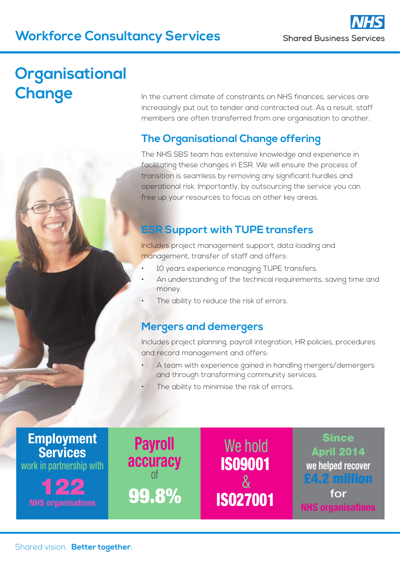## **Workforce Consultancy Services**

**Since** April 2014

**we helped recover** £4.2 million

for

**NHS organisations** 

# **Organisational Change**

In the current climate of constraints on NHS finances, services are increasingly put out to tender and contracted out. As a result, staff members are often transferred from one organisation to another.

### **The Organisational Change offering**

The NHS SBS team has extensive knowledge and experience in facilitating these changes in ESR. We will ensure the process of transition is seamless by removing any significant hurdles and operational risk. Importantly, by outsourcing the service you can free up your resources to focus on other key areas.

### **ESR Support with TUPE transfers**

Includes project management support, data loading and management, transfer of staff and offers:

- 10 years experience managing TUPE transfers.
- An understanding of the technical requirements, saving time and money.
- The ability to reduce the risk of errors.

#### **Mergers and demergers**

Payroll

accuracy of

Includes project planning, payroll integration, HR policies, procedures and record management and offers:

A team with experience gained in handling mergers/demergers and through transforming community services.

We hold

IS09001

&

The ability to minimise the risk of errors.



**NHS organisations** 99.8% ISO27001

Shared vision. **Better together.**